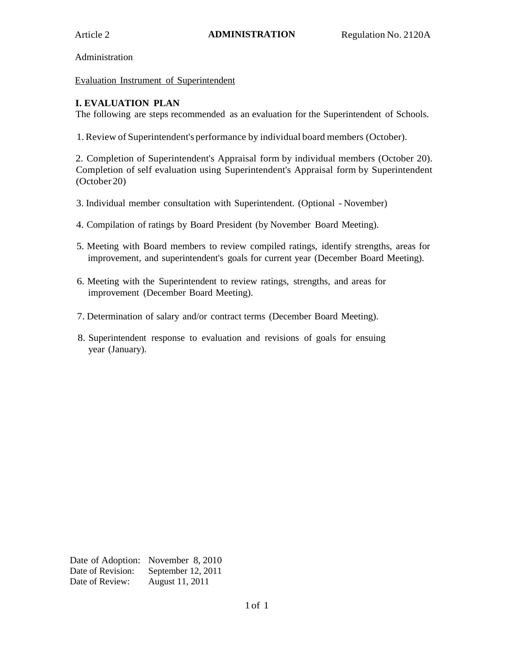Administration

Evaluation Instrument of Superintendent

#### **I. EVALUATION PLAN**

The following are steps recommended as an evaluation for the Superintendent of Schools.

1.Review of Superintendent's performance by individual board members (October).

2. Completion of Superintendent's Appraisal form by individual members (October 20). Completion of self evaluation using Superintendent's Appraisal form by Superintendent (October 20)

- 3. Individual member consultation with Superintendent. (Optional November)
- 4. Compilation of ratings by Board President (by November Board Meeting).
- 5. Meeting with Board members to review compiled ratings, identify strengths, areas for improvement, and superintendent's goals for current year (December Board Meeting).
- 6. Meeting with the Superintendent to review ratings, strengths, and areas for improvement (December Board Meeting).
- 7. Determination of salary and/or contract terms (December Board Meeting).
- 8. Superintendent response to evaluation and revisions of goals for ensuing year (January).

Date of Adoption: November 8, 2010 Date of Revision: September 12, 2011 Date of Review: August 11, 2011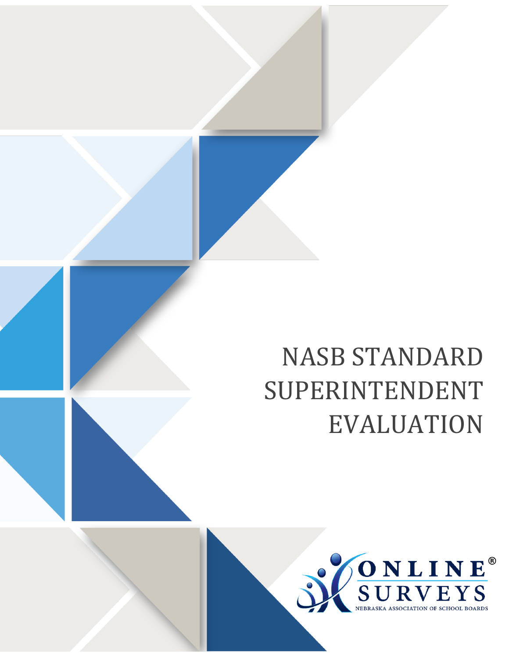# NASB STANDARD SUPERINTENDENT EVALUATION

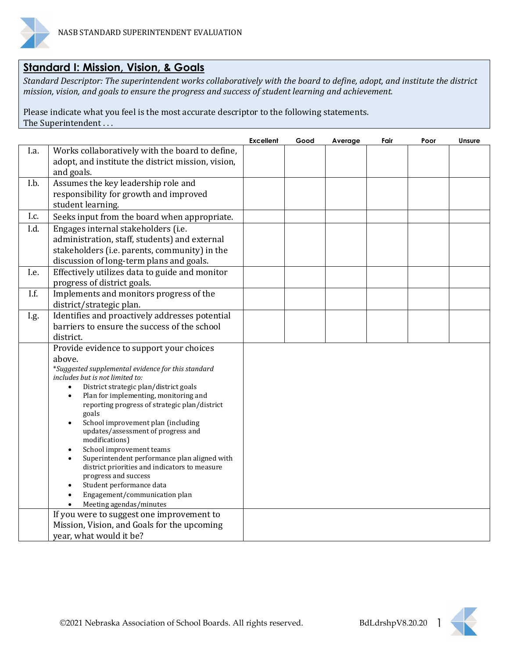

## **Standard I: Mission, Vision, & Goals**

*Standard Descriptor: The superintendent works collaboratively with the board to define, adopt, and institute the district mission, vision, and goals to ensure the progress and success of student learning and achievement.*

Please indicate what you feel is the most accurate descriptor to the following statements. The Superintendent . . .

|      |                                                                                       | <b>Excellent</b> | Good | Average | Fair | Poor | Unsure |
|------|---------------------------------------------------------------------------------------|------------------|------|---------|------|------|--------|
| I.a. | Works collaboratively with the board to define,                                       |                  |      |         |      |      |        |
|      | adopt, and institute the district mission, vision,<br>and goals.                      |                  |      |         |      |      |        |
| I.b. | Assumes the key leadership role and                                                   |                  |      |         |      |      |        |
|      | responsibility for growth and improved                                                |                  |      |         |      |      |        |
|      | student learning.                                                                     |                  |      |         |      |      |        |
| I.c. | Seeks input from the board when appropriate.                                          |                  |      |         |      |      |        |
| I.d. | Engages internal stakeholders (i.e.                                                   |                  |      |         |      |      |        |
|      | administration, staff, students) and external                                         |                  |      |         |      |      |        |
|      | stakeholders (i.e. parents, community) in the                                         |                  |      |         |      |      |        |
|      | discussion of long-term plans and goals.                                              |                  |      |         |      |      |        |
| I.e. | Effectively utilizes data to guide and monitor                                        |                  |      |         |      |      |        |
|      | progress of district goals.                                                           |                  |      |         |      |      |        |
| I.f. | Implements and monitors progress of the                                               |                  |      |         |      |      |        |
|      | district/strategic plan.                                                              |                  |      |         |      |      |        |
| I.g. | Identifies and proactively addresses potential                                        |                  |      |         |      |      |        |
|      | barriers to ensure the success of the school                                          |                  |      |         |      |      |        |
|      | district.                                                                             |                  |      |         |      |      |        |
|      | Provide evidence to support your choices                                              |                  |      |         |      |      |        |
|      | above.                                                                                |                  |      |         |      |      |        |
|      | *Suggested supplemental evidence for this standard<br>includes but is not limited to: |                  |      |         |      |      |        |
|      | District strategic plan/district goals                                                |                  |      |         |      |      |        |
|      | Plan for implementing, monitoring and                                                 |                  |      |         |      |      |        |
|      | reporting progress of strategic plan/district                                         |                  |      |         |      |      |        |
|      | goals                                                                                 |                  |      |         |      |      |        |
|      | School improvement plan (including<br>updates/assessment of progress and              |                  |      |         |      |      |        |
|      | modifications)                                                                        |                  |      |         |      |      |        |
|      | School improvement teams                                                              |                  |      |         |      |      |        |
|      | Superintendent performance plan aligned with                                          |                  |      |         |      |      |        |
|      | district priorities and indicators to measure                                         |                  |      |         |      |      |        |
|      | progress and success<br>Student performance data                                      |                  |      |         |      |      |        |
|      | Engagement/communication plan                                                         |                  |      |         |      |      |        |
|      | Meeting agendas/minutes                                                               |                  |      |         |      |      |        |
|      | If you were to suggest one improvement to                                             |                  |      |         |      |      |        |
|      | Mission, Vision, and Goals for the upcoming                                           |                  |      |         |      |      |        |
|      | year, what would it be?                                                               |                  |      |         |      |      |        |

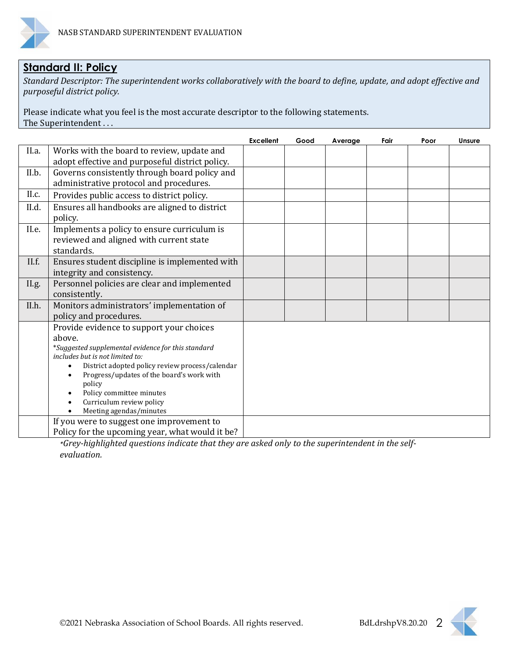

# **Standard II: Policy**

*Standard Descriptor: The superintendent works collaboratively with the board to define, update, and adopt effective and purposeful district policy.*

Please indicate what you feel is the most accurate descriptor to the following statements. The Superintendent . . .

|       |                                                     | <b>Excellent</b> | Good | Average | Fair | Poor | Unsure |
|-------|-----------------------------------------------------|------------------|------|---------|------|------|--------|
| II.a. | Works with the board to review, update and          |                  |      |         |      |      |        |
|       | adopt effective and purposeful district policy.     |                  |      |         |      |      |        |
| II.b. | Governs consistently through board policy and       |                  |      |         |      |      |        |
|       | administrative protocol and procedures.             |                  |      |         |      |      |        |
| II.c. | Provides public access to district policy.          |                  |      |         |      |      |        |
| II.d. | Ensures all handbooks are aligned to district       |                  |      |         |      |      |        |
|       | policy.                                             |                  |      |         |      |      |        |
| II.e. | Implements a policy to ensure curriculum is         |                  |      |         |      |      |        |
|       | reviewed and aligned with current state             |                  |      |         |      |      |        |
|       | standards.                                          |                  |      |         |      |      |        |
| II.f. | Ensures student discipline is implemented with      |                  |      |         |      |      |        |
|       | integrity and consistency.                          |                  |      |         |      |      |        |
| II.g. | Personnel policies are clear and implemented        |                  |      |         |      |      |        |
|       | consistently.                                       |                  |      |         |      |      |        |
| II.h. | Monitors administrators' implementation of          |                  |      |         |      |      |        |
|       | policy and procedures.                              |                  |      |         |      |      |        |
|       | Provide evidence to support your choices            |                  |      |         |      |      |        |
|       | above.                                              |                  |      |         |      |      |        |
|       | *Suggested supplemental evidence for this standard  |                  |      |         |      |      |        |
|       | includes but is not limited to:                     |                  |      |         |      |      |        |
|       | District adopted policy review process/calendar     |                  |      |         |      |      |        |
|       | Progress/updates of the board's work with<br>policy |                  |      |         |      |      |        |
|       | Policy committee minutes                            |                  |      |         |      |      |        |
|       | Curriculum review policy                            |                  |      |         |      |      |        |
|       | Meeting agendas/minutes                             |                  |      |         |      |      |        |
|       | If you were to suggest one improvement to           |                  |      |         |      |      |        |
|       | Policy for the upcoming year, what would it be?     |                  |      |         |      |      |        |

*\*Grey-highlighted questions indicate that they are asked only to the superintendent in the selfevaluation.*

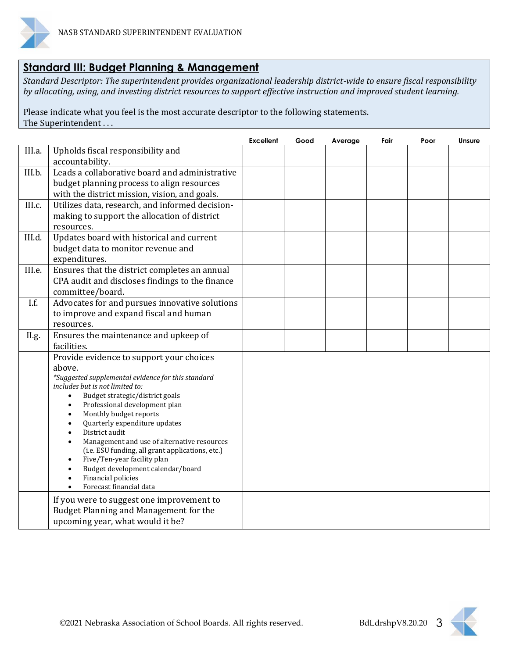

## **Standard III: Budget Planning & Management**

*Standard Descriptor: The superintendent provides organizational leadership district-wide to ensure fiscal responsibility by allocating, using, and investing district resources to support effective instruction and improved student learning.*

Please indicate what you feel is the most accurate descriptor to the following statements. The Superintendent . . .

|        |                                                                                 | <b>Excellent</b> | Good | Average | Fair | Poor | <b>Unsure</b> |
|--------|---------------------------------------------------------------------------------|------------------|------|---------|------|------|---------------|
| III.a. | Upholds fiscal responsibility and                                               |                  |      |         |      |      |               |
|        | accountability.                                                                 |                  |      |         |      |      |               |
| III.b. | Leads a collaborative board and administrative                                  |                  |      |         |      |      |               |
|        | budget planning process to align resources                                      |                  |      |         |      |      |               |
|        | with the district mission, vision, and goals.                                   |                  |      |         |      |      |               |
| III.c. | Utilizes data, research, and informed decision-                                 |                  |      |         |      |      |               |
|        | making to support the allocation of district                                    |                  |      |         |      |      |               |
|        | resources.                                                                      |                  |      |         |      |      |               |
| III.d. | Updates board with historical and current                                       |                  |      |         |      |      |               |
|        | budget data to monitor revenue and                                              |                  |      |         |      |      |               |
|        | expenditures.                                                                   |                  |      |         |      |      |               |
| III.e. | Ensures that the district completes an annual                                   |                  |      |         |      |      |               |
|        | CPA audit and discloses findings to the finance                                 |                  |      |         |      |      |               |
|        | committee/board.                                                                |                  |      |         |      |      |               |
| I.f.   | Advocates for and pursues innovative solutions                                  |                  |      |         |      |      |               |
|        | to improve and expand fiscal and human                                          |                  |      |         |      |      |               |
|        | resources.                                                                      |                  |      |         |      |      |               |
| II.g.  | Ensures the maintenance and upkeep of                                           |                  |      |         |      |      |               |
|        | facilities.                                                                     |                  |      |         |      |      |               |
|        | Provide evidence to support your choices                                        |                  |      |         |      |      |               |
|        | above.                                                                          |                  |      |         |      |      |               |
|        | *Suggested supplemental evidence for this standard                              |                  |      |         |      |      |               |
|        | includes but is not limited to:<br>Budget strategic/district goals<br>$\bullet$ |                  |      |         |      |      |               |
|        | Professional development plan                                                   |                  |      |         |      |      |               |
|        | Monthly budget reports                                                          |                  |      |         |      |      |               |
|        | Quarterly expenditure updates                                                   |                  |      |         |      |      |               |
|        | District audit                                                                  |                  |      |         |      |      |               |
|        | Management and use of alternative resources                                     |                  |      |         |      |      |               |
|        | (i.e. ESU funding, all grant applications, etc.)<br>Five/Ten-year facility plan |                  |      |         |      |      |               |
|        | Budget development calendar/board                                               |                  |      |         |      |      |               |
|        | Financial policies                                                              |                  |      |         |      |      |               |
|        | Forecast financial data                                                         |                  |      |         |      |      |               |
|        | If you were to suggest one improvement to                                       |                  |      |         |      |      |               |
|        | Budget Planning and Management for the                                          |                  |      |         |      |      |               |
|        | upcoming year, what would it be?                                                |                  |      |         |      |      |               |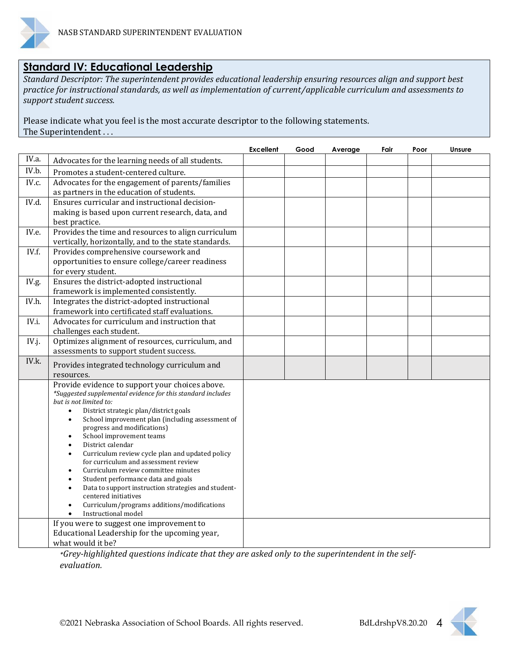

### **Standard IV: Educational Leadership**

*Standard Descriptor: The superintendent provides educational leadership ensuring resources align and support best practice for instructional standards, as well as implementation of current/applicable curriculum and assessments to support student success.*

Please indicate what you feel is the most accurate descriptor to the following statements. The Superintendent . . .

|       |                                                                                                                                                                                                                                                                                                                                                                                                                                                                                                                                                                                                                                                                                                                                   | <b>Excellent</b> | Good | Average | Fair | Poor | Unsure |
|-------|-----------------------------------------------------------------------------------------------------------------------------------------------------------------------------------------------------------------------------------------------------------------------------------------------------------------------------------------------------------------------------------------------------------------------------------------------------------------------------------------------------------------------------------------------------------------------------------------------------------------------------------------------------------------------------------------------------------------------------------|------------------|------|---------|------|------|--------|
| IV.a. | Advocates for the learning needs of all students.                                                                                                                                                                                                                                                                                                                                                                                                                                                                                                                                                                                                                                                                                 |                  |      |         |      |      |        |
| IV.b. | Promotes a student-centered culture.                                                                                                                                                                                                                                                                                                                                                                                                                                                                                                                                                                                                                                                                                              |                  |      |         |      |      |        |
| IV.c. | Advocates for the engagement of parents/families<br>as partners in the education of students.                                                                                                                                                                                                                                                                                                                                                                                                                                                                                                                                                                                                                                     |                  |      |         |      |      |        |
| IV.d. | Ensures curricular and instructional decision-<br>making is based upon current research, data, and                                                                                                                                                                                                                                                                                                                                                                                                                                                                                                                                                                                                                                |                  |      |         |      |      |        |
|       | best practice.                                                                                                                                                                                                                                                                                                                                                                                                                                                                                                                                                                                                                                                                                                                    |                  |      |         |      |      |        |
| IV.e. | Provides the time and resources to align curriculum<br>vertically, horizontally, and to the state standards.                                                                                                                                                                                                                                                                                                                                                                                                                                                                                                                                                                                                                      |                  |      |         |      |      |        |
| IV.f. | Provides comprehensive coursework and<br>opportunities to ensure college/career readiness<br>for every student.                                                                                                                                                                                                                                                                                                                                                                                                                                                                                                                                                                                                                   |                  |      |         |      |      |        |
| IV.g. | Ensures the district-adopted instructional<br>framework is implemented consistently.                                                                                                                                                                                                                                                                                                                                                                                                                                                                                                                                                                                                                                              |                  |      |         |      |      |        |
| IV.h. | Integrates the district-adopted instructional<br>framework into certificated staff evaluations.                                                                                                                                                                                                                                                                                                                                                                                                                                                                                                                                                                                                                                   |                  |      |         |      |      |        |
| IV.i. | Advocates for curriculum and instruction that<br>challenges each student.                                                                                                                                                                                                                                                                                                                                                                                                                                                                                                                                                                                                                                                         |                  |      |         |      |      |        |
| IV.j. | Optimizes alignment of resources, curriculum, and<br>assessments to support student success.                                                                                                                                                                                                                                                                                                                                                                                                                                                                                                                                                                                                                                      |                  |      |         |      |      |        |
| IV.k. | Provides integrated technology curriculum and<br>resources.                                                                                                                                                                                                                                                                                                                                                                                                                                                                                                                                                                                                                                                                       |                  |      |         |      |      |        |
|       | Provide evidence to support your choices above.<br>*Suggested supplemental evidence for this standard includes<br>but is not limited to:<br>District strategic plan/district goals<br>$\bullet$<br>School improvement plan (including assessment of<br>$\bullet$<br>progress and modifications)<br>School improvement teams<br>District calendar<br>$\bullet$<br>Curriculum review cycle plan and updated policy<br>$\bullet$<br>for curriculum and assessment review<br>Curriculum review committee minutes<br>Student performance data and goals<br>Data to support instruction strategies and student-<br>$\bullet$<br>centered initiatives<br>Curriculum/programs additions/modifications<br>Instructional model<br>$\bullet$ |                  |      |         |      |      |        |
|       | If you were to suggest one improvement to<br>Educational Leadership for the upcoming year,<br>what would it be?                                                                                                                                                                                                                                                                                                                                                                                                                                                                                                                                                                                                                   |                  |      |         |      |      |        |
|       | Croy highlighted questions indicate that they are asked only to the synoripter dent in the self                                                                                                                                                                                                                                                                                                                                                                                                                                                                                                                                                                                                                                   |                  |      |         |      |      |        |

*\*Grey-highlighted questions indicate that they are asked only to the superintendent in the selfevaluation.*

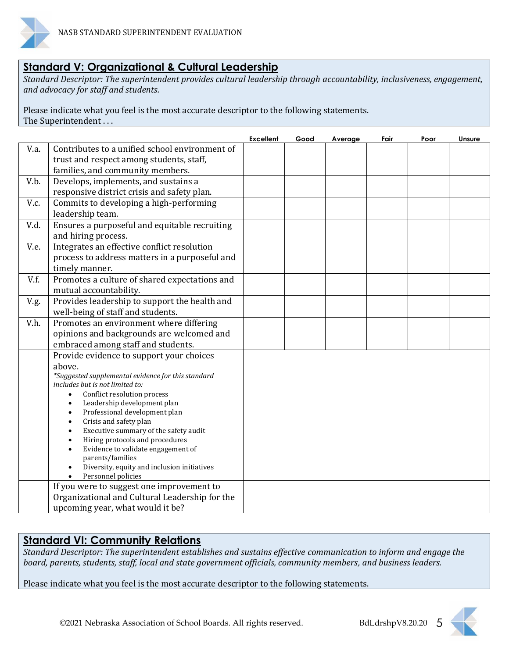

## **Standard V: Organizational & Cultural Leadership**

*Standard Descriptor: The superintendent provides cultural leadership through accountability, inclusiveness, engagement, and advocacy for staff and students.*

Please indicate what you feel is the most accurate descriptor to the following statements. The Superintendent . . .

|      |                                                                                                                                                                                                                                                                                                                                                                                                                                                                                                                                                  | <b>Excellent</b> | Good | Average | Fair | Poor | <b>Unsure</b> |
|------|--------------------------------------------------------------------------------------------------------------------------------------------------------------------------------------------------------------------------------------------------------------------------------------------------------------------------------------------------------------------------------------------------------------------------------------------------------------------------------------------------------------------------------------------------|------------------|------|---------|------|------|---------------|
| V.a. | Contributes to a unified school environment of<br>trust and respect among students, staff,<br>families, and community members.                                                                                                                                                                                                                                                                                                                                                                                                                   |                  |      |         |      |      |               |
| V.b. | Develops, implements, and sustains a<br>responsive district crisis and safety plan.                                                                                                                                                                                                                                                                                                                                                                                                                                                              |                  |      |         |      |      |               |
| V.c. | Commits to developing a high-performing<br>leadership team.                                                                                                                                                                                                                                                                                                                                                                                                                                                                                      |                  |      |         |      |      |               |
| V.d. | Ensures a purposeful and equitable recruiting<br>and hiring process.                                                                                                                                                                                                                                                                                                                                                                                                                                                                             |                  |      |         |      |      |               |
| V.e. | Integrates an effective conflict resolution<br>process to address matters in a purposeful and<br>timely manner.                                                                                                                                                                                                                                                                                                                                                                                                                                  |                  |      |         |      |      |               |
| V.f. | Promotes a culture of shared expectations and<br>mutual accountability.                                                                                                                                                                                                                                                                                                                                                                                                                                                                          |                  |      |         |      |      |               |
| V.g. | Provides leadership to support the health and<br>well-being of staff and students.                                                                                                                                                                                                                                                                                                                                                                                                                                                               |                  |      |         |      |      |               |
| V.h. | Promotes an environment where differing<br>opinions and backgrounds are welcomed and<br>embraced among staff and students.                                                                                                                                                                                                                                                                                                                                                                                                                       |                  |      |         |      |      |               |
|      | Provide evidence to support your choices<br>above.<br>*Suggested supplemental evidence for this standard<br>includes but is not limited to:<br>Conflict resolution process<br>$\bullet$<br>Leadership development plan<br>$\bullet$<br>Professional development plan<br>$\bullet$<br>Crisis and safety plan<br>$\bullet$<br>Executive summary of the safety audit<br>Hiring protocols and procedures<br>$\bullet$<br>Evidence to validate engagement of<br>parents/families<br>Diversity, equity and inclusion initiatives<br>Personnel policies |                  |      |         |      |      |               |
|      | If you were to suggest one improvement to<br>Organizational and Cultural Leadership for the<br>upcoming year, what would it be?                                                                                                                                                                                                                                                                                                                                                                                                                  |                  |      |         |      |      |               |

#### **Standard VI: Community Relations**

*Standard Descriptor: The superintendent establishes and sustains effective communication to inform and engage the board, parents, students, staff, local and state government officials, community members, and business leaders.*

Please indicate what you feel is the most accurate descriptor to the following statements.

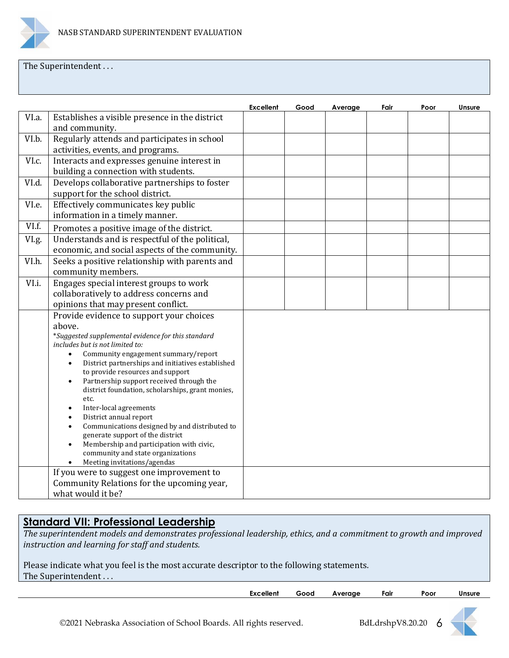

#### The Superintendent...

|       |                                                                                                                                                                                                                                                                                                                                                                                                                                                                                                                                                                                                                                                                                     | <b>Excellent</b> | Good | Average | Fair | Poor | Unsure |
|-------|-------------------------------------------------------------------------------------------------------------------------------------------------------------------------------------------------------------------------------------------------------------------------------------------------------------------------------------------------------------------------------------------------------------------------------------------------------------------------------------------------------------------------------------------------------------------------------------------------------------------------------------------------------------------------------------|------------------|------|---------|------|------|--------|
| VI.a. | Establishes a visible presence in the district<br>and community.                                                                                                                                                                                                                                                                                                                                                                                                                                                                                                                                                                                                                    |                  |      |         |      |      |        |
| VI.b. | Regularly attends and participates in school<br>activities, events, and programs.                                                                                                                                                                                                                                                                                                                                                                                                                                                                                                                                                                                                   |                  |      |         |      |      |        |
| VI.c. | Interacts and expresses genuine interest in<br>building a connection with students.                                                                                                                                                                                                                                                                                                                                                                                                                                                                                                                                                                                                 |                  |      |         |      |      |        |
| VI.d. | Develops collaborative partnerships to foster<br>support for the school district.                                                                                                                                                                                                                                                                                                                                                                                                                                                                                                                                                                                                   |                  |      |         |      |      |        |
| VI.e. | Effectively communicates key public<br>information in a timely manner.                                                                                                                                                                                                                                                                                                                                                                                                                                                                                                                                                                                                              |                  |      |         |      |      |        |
| VI.f. | Promotes a positive image of the district.                                                                                                                                                                                                                                                                                                                                                                                                                                                                                                                                                                                                                                          |                  |      |         |      |      |        |
| VI.g. | Understands and is respectful of the political,<br>economic, and social aspects of the community.                                                                                                                                                                                                                                                                                                                                                                                                                                                                                                                                                                                   |                  |      |         |      |      |        |
| VI.h. | Seeks a positive relationship with parents and<br>community members.                                                                                                                                                                                                                                                                                                                                                                                                                                                                                                                                                                                                                |                  |      |         |      |      |        |
| VI.i. | Engages special interest groups to work<br>collaboratively to address concerns and<br>opinions that may present conflict.                                                                                                                                                                                                                                                                                                                                                                                                                                                                                                                                                           |                  |      |         |      |      |        |
|       | Provide evidence to support your choices<br>above.<br>*Suggested supplemental evidence for this standard<br>includes but is not limited to:<br>Community engagement summary/report<br>$\bullet$<br>District partnerships and initiatives established<br>$\bullet$<br>to provide resources and support<br>Partnership support received through the<br>$\bullet$<br>district foundation, scholarships, grant monies,<br>etc.<br>Inter-local agreements<br>District annual report<br>Communications designed by and distributed to<br>generate support of the district<br>Membership and participation with civic,<br>community and state organizations<br>Meeting invitations/agendas |                  |      |         |      |      |        |
|       | If you were to suggest one improvement to<br>Community Relations for the upcoming year,<br>what would it be?                                                                                                                                                                                                                                                                                                                                                                                                                                                                                                                                                                        |                  |      |         |      |      |        |

## **Standard VII: Professional Leadership**

*The superintendent models and demonstrates professional leadership, ethics, and a commitment to growth and improved instruction and learning for staff and students.*

| Please indicate what you feel is the most accurate descriptor to the following statements. |  |
|--------------------------------------------------------------------------------------------|--|
| The Superintendent                                                                         |  |

| Excellent | Good | rage.<br>AV. | Fair | Poor | Unsure |
|-----------|------|--------------|------|------|--------|
|           |      |              |      |      |        |

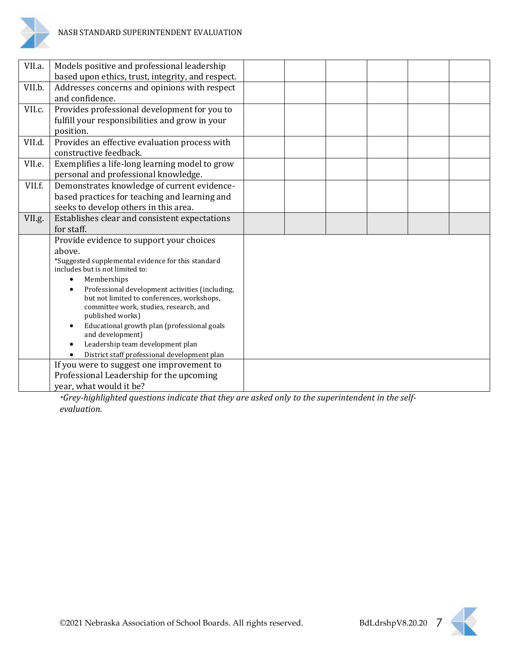

| VII.a. | Models positive and professional leadership<br>based upon ethics, trust, integrity, and respect.                                                                                                                                                                                                                                                                                                                                                                                                           |  |  |  |
|--------|------------------------------------------------------------------------------------------------------------------------------------------------------------------------------------------------------------------------------------------------------------------------------------------------------------------------------------------------------------------------------------------------------------------------------------------------------------------------------------------------------------|--|--|--|
| VII.b. | Addresses concerns and opinions with respect<br>and confidence.                                                                                                                                                                                                                                                                                                                                                                                                                                            |  |  |  |
| VII.c. | Provides professional development for you to<br>fulfill your responsibilities and grow in your<br>position.                                                                                                                                                                                                                                                                                                                                                                                                |  |  |  |
| VII.d. | Provides an effective evaluation process with<br>constructive feedback.                                                                                                                                                                                                                                                                                                                                                                                                                                    |  |  |  |
| VII.e. | Exemplifies a life-long learning model to grow<br>personal and professional knowledge.                                                                                                                                                                                                                                                                                                                                                                                                                     |  |  |  |
| VII.f. | Demonstrates knowledge of current evidence-<br>based practices for teaching and learning and<br>seeks to develop others in this area.                                                                                                                                                                                                                                                                                                                                                                      |  |  |  |
| VII.g. | Establishes clear and consistent expectations<br>for staff.                                                                                                                                                                                                                                                                                                                                                                                                                                                |  |  |  |
|        | Provide evidence to support your choices<br>above.<br>*Suggested supplemental evidence for this standard<br>includes but is not limited to:<br>Memberships<br>$\bullet$<br>Professional development activities (including,<br>$\bullet$<br>but not limited to conferences, workshops,<br>committee work, studies, research, and<br>published works)<br>Educational growth plan (professional goals<br>and development)<br>Leadership team development plan<br>District staff professional development plan |  |  |  |
|        | If you were to suggest one improvement to<br>Professional Leadership for the upcoming<br>year, what would it be?                                                                                                                                                                                                                                                                                                                                                                                           |  |  |  |

*\*Grey-highlighted questions indicate that they are asked only to the superintendent in the selfevaluation.*

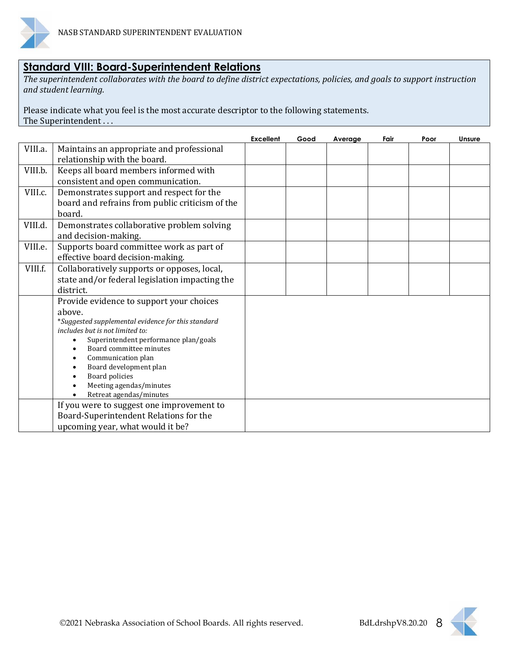

#### **Standard VIII: Board-Superintendent Relations**

*The superintendent collaborates with the board to define district expectations, policies, and goals to support instruction and student learning.*

Please indicate what you feel is the most accurate descriptor to the following statements. The Superintendent . . .

|         |                                                                  | <b>Excellent</b> | Good | Average | Fair | Poor | <b>Unsure</b> |
|---------|------------------------------------------------------------------|------------------|------|---------|------|------|---------------|
| VIII.a. | Maintains an appropriate and professional                        |                  |      |         |      |      |               |
|         | relationship with the board.                                     |                  |      |         |      |      |               |
| VIII.b. | Keeps all board members informed with                            |                  |      |         |      |      |               |
|         | consistent and open communication.                               |                  |      |         |      |      |               |
| VIII.c. | Demonstrates support and respect for the                         |                  |      |         |      |      |               |
|         | board and refrains from public criticism of the                  |                  |      |         |      |      |               |
|         | board.                                                           |                  |      |         |      |      |               |
| VIII.d. | Demonstrates collaborative problem solving                       |                  |      |         |      |      |               |
|         | and decision-making.                                             |                  |      |         |      |      |               |
| VIII.e. | Supports board committee work as part of                         |                  |      |         |      |      |               |
|         | effective board decision-making.                                 |                  |      |         |      |      |               |
| VIII.f. | Collaboratively supports or opposes, local,                      |                  |      |         |      |      |               |
|         | state and/or federal legislation impacting the                   |                  |      |         |      |      |               |
|         | district.                                                        |                  |      |         |      |      |               |
|         | Provide evidence to support your choices                         |                  |      |         |      |      |               |
|         | above.                                                           |                  |      |         |      |      |               |
|         | *Suggested supplemental evidence for this standard               |                  |      |         |      |      |               |
|         | includes but is not limited to:                                  |                  |      |         |      |      |               |
|         | Superintendent performance plan/goals<br>Board committee minutes |                  |      |         |      |      |               |
|         | Communication plan                                               |                  |      |         |      |      |               |
|         | Board development plan                                           |                  |      |         |      |      |               |
|         | Board policies                                                   |                  |      |         |      |      |               |
|         | Meeting agendas/minutes                                          |                  |      |         |      |      |               |
|         | Retreat agendas/minutes                                          |                  |      |         |      |      |               |
|         | If you were to suggest one improvement to                        |                  |      |         |      |      |               |
|         | Board-Superintendent Relations for the                           |                  |      |         |      |      |               |
|         | upcoming year, what would it be?                                 |                  |      |         |      |      |               |